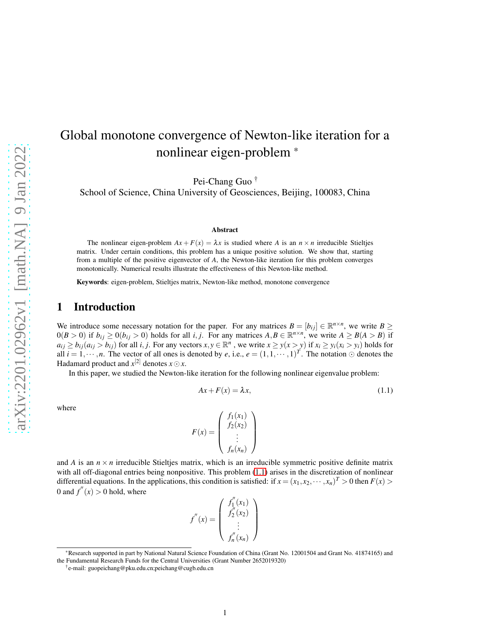# Global monotone convergence of Newton-like iteration for a nonlinear eigen-problem \*

Pei-Chang Guo †

School of Science, China University of Geosciences, Beijing, 100083, China

#### Abstract

The nonlinear eigen-problem  $Ax + F(x) = \lambda x$  is studied where *A* is an  $n \times n$  irreducible Stieltjes matrix. Under certain conditions, this problem has a unique positive solution. We show that, starting from a multiple of the positive eigenvector of *A*, the Newton-like iteration for this problem converges monotonically. Numerical results illustrate the effectiveness of this Newton-like method.

Keywords: eigen-problem, Stieltjes matrix, Newton-like method, monotone convergence

#### 1 Introduction

We introduce some necessary notation for the paper. For any matrices  $B = [b_{ij}] \in \mathbb{R}^{n \times n}$ , we write  $B \geq$  $0(B>0)$  if  $b_{ij} \geq 0(b_{ij}>0)$  holds for all *i, j.* For any matrices  $A, B \in \mathbb{R}^{n \times n}$ , we write  $A \geq B(A > B)$  if  $a_{ij} \ge b_{ij} (a_{ij} > b_{ij})$  for all *i*, *j*. For any vectors  $x, y \in \mathbb{R}^n$ , we write  $x \ge y(x > y)$  if  $x_i \ge y_i(x_i > y_i)$  holds for all  $i = 1, \dots, n$ . The vector of all ones is denoted by *e*, i.e.,  $e = (1, 1, \dots, 1)^T$ . The notation ⊙ denotes the Hadamard product and  $x^{[2]}$  denotes  $x \odot x$ .

In this paper, we studied the Newton-like iteration for the following nonlinear eigenvalue problem:

<span id="page-0-0"></span>
$$
Ax + F(x) = \lambda x,\tag{1.1}
$$

where

$$
F(x) = \begin{pmatrix} f_1(x_1) \\ f_2(x_2) \\ \vdots \\ f_n(x_n) \end{pmatrix}
$$

and *A* is an  $n \times n$  irreducible Stieltjes matrix, which is an irreducible symmetric positive definite matrix with all off-diagonal entries being nonpositive. This problem  $(1.1)$  arises in the discretization of nonlinear differential equations. In the applications, this condition is satisfied: if  $x = (x_1, x_2, \dots, x_n)^T > 0$  then  $F(x) > 0$ 0 and  $f''(x) > 0$  hold, where

$$
''(x) = \begin{pmatrix} f_1''(x_1) \\ f_2''(x_2) \\ \vdots \\ f_n^{(n)}(x_n) \end{pmatrix}
$$

*f*

<sup>\*</sup>Research supported in part by National Natural Science Foundation of China (Grant No. 12001504 and Grant No. 41874165) and

the Fundamental Research Funds for the Central Universities (Grant Number 2652019320)

<sup>†</sup> e-mail: guopeichang@pku.edu.cn;peichang@cugb.edu.cn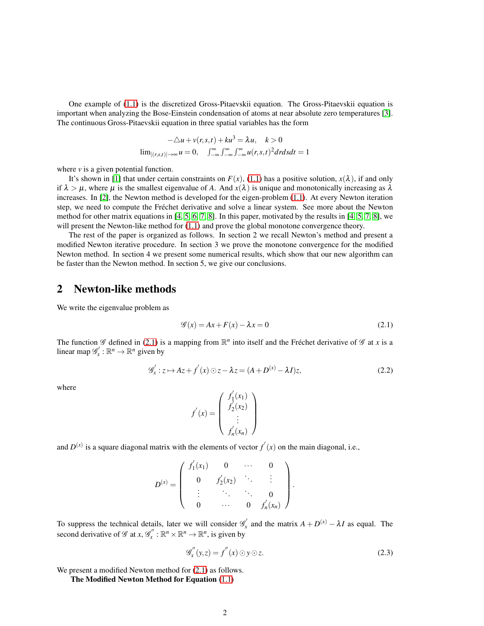One example of [\(1.1\)](#page-0-0) is the discretized Gross-Pitaevskii equation. The Gross-Pitaevskii equation is important when analyzing the Bose-Einstein condensation of atoms at near absolute zero temperatures [\[3\]](#page-6-0). The continuous Gross-Pitaevskii equation in three spatial variables has the form

$$
-\triangle u + v(r, s, t) + ku^3 = \lambda u, \quad k > 0
$$
  

$$
\lim_{|(r, s, t)| \to \infty} u = 0, \quad \int_{-\infty}^{\infty} \int_{-\infty}^{\infty} \int_{-\infty}^{\infty} u(r, s, t)^2 dr ds dt = 1
$$

where  $\nu$  is a given potential function.

It's shown in [\[1\]](#page-6-1) that under certain constraints on  $F(x)$ , [\(1.1\)](#page-0-0) has a positive solution,  $x(\lambda)$ , if and only if  $\lambda > \mu$ , where  $\mu$  is the smallest eigenvalue of A. And  $x(\lambda)$  is unique and monotonically increasing as  $\lambda$ increases. In [\[2\]](#page-6-2), the Newton method is developed for the eigen-problem [\(1.1\)](#page-0-0). At every Newton iteration step, we need to compute the Fréchet derivative and solve a linear system. See more about the Newton method for other matrix equations in  $[4, 5, 6, 7, 8]$  $[4, 5, 6, 7, 8]$  $[4, 5, 6, 7, 8]$  $[4, 5, 6, 7, 8]$  $[4, 5, 6, 7, 8]$ . In this paper, motivated by the results in  $[4, 5, 7, 8]$  $[4, 5, 7, 8]$ , we will present the Newton-like method for  $(1.1)$  and prove the global monotone convergence theory.

The rest of the paper is organized as follows. In section 2 we recall Newton's method and present a modified Newton iterative procedure. In section 3 we prove the monotone convergence for the modified Newton method. In section 4 we present some numerical results, which show that our new algorithm can be faster than the Newton method. In section 5, we give our conclusions.

#### 2 Newton-like methods

We write the eigenvalue problem as

<span id="page-1-0"></span>
$$
\mathcal{G}(x) = Ax + F(x) - \lambda x = 0 \tag{2.1}
$$

The function  $\mathscr G$  defined in [\(2.1\)](#page-1-0) is a mapping from  $\mathbb R^n$  into itself and the Fréchet derivative of  $\mathscr G$  at *x* is a linear map  $\mathscr{G}_x' : \mathbb{R}^n \to \mathbb{R}^n$  given by

$$
\mathscr{G}'_x: z \mapsto Az + f'(x) \odot z - \lambda z = (A + D^{(x)} - \lambda I)z,
$$
\n(2.2)

where

$$
f'(x) = \begin{pmatrix} f'_1(x_1) \\ f'_2(x_2) \\ \vdots \\ f'_n(x_n) \end{pmatrix}
$$

and  $D^{(x)}$  is a square diagonal matrix with the elements of vector  $f'(x)$  on the main diagonal, i.e.,

$$
D^{(x)} = \left(\begin{array}{cccc} f_1'(x_1) & 0 & \cdots & 0 \\ 0 & f_2'(x_2) & \ddots & \vdots \\ \vdots & \ddots & \ddots & 0 \\ 0 & \cdots & 0 & f_n'(x_n) \end{array}\right).
$$

To suppress the technical details, later we will consider  $\mathscr{G}'_x$  and the matrix  $A + D^{(x)} - \lambda I$  as equal. The second derivative of  $\mathscr{G}$  at  $x, \mathscr{G}'_x : \mathbb{R}^n \times \mathbb{R}^n \to \mathbb{R}^n$ , is given by

$$
\mathscr{G}'_x(y,z) = f''(x) \odot y \odot z. \tag{2.3}
$$

We present a modified Newton method for [\(2.1\)](#page-1-0) as follows.

The Modified Newton Method for Equation [\(1.1\)](#page-0-0)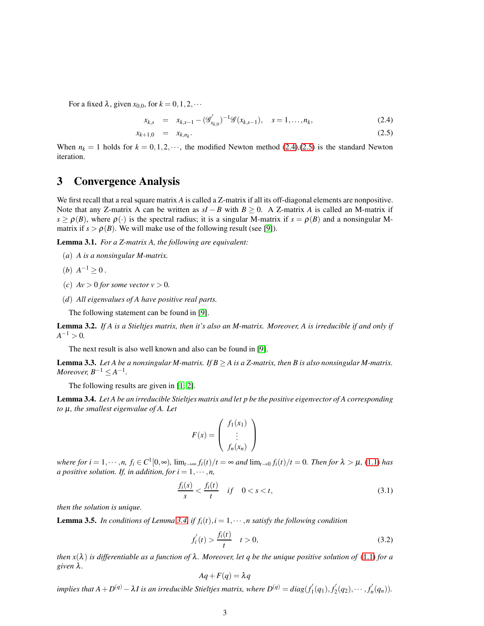For a fixed  $\lambda$ , given  $x_{0,0}$ , for  $k = 0, 1, 2, \cdots$ 

<span id="page-2-0"></span>
$$
x_{k,s} = x_{k,s-1} - (g'_{x_{k,0}})^{-1} \mathcal{G}(x_{k,s-1}), \quad s = 1, \dots, n_k,
$$
\n(2.4)

$$
x_{k+1,0} = x_{k,n_k}.\tag{2.5}
$$

When  $n_k = 1$  holds for  $k = 0, 1, 2, \dots$ , the modified Newton method [\(2.4\)](#page-2-0),[\(2.5\)](#page-2-0) is the standard Newton iteration.

### 3 Convergence Analysis

We first recall that a real square matrix *A* is called a Z-matrix if all its off-diagonal elements are nonpositive. Note that any Z-matrix A can be written as  $sI - B$  with  $B > 0$ . A Z-matrix A is called an M-matrix if  $s > \rho(B)$ , where  $\rho(\cdot)$  is the spectral radius; it is a singular M-matrix if  $s = \rho(B)$  and a nonsingular Mmatrix if  $s > \rho(B)$ . We will make use of the following result (see [\[9\]](#page-7-4)).

Lemma 3.1. *For a Z-matrix A, the following are equivalent:*

- (*a*) *A is a nonsingular M-matrix.*
- $(b) A^{-1} \geq 0.$
- (*c*)  $Av > 0$  *for some vector*  $v > 0$ *.*
- (*d*) *All eigenvalues of A have positive real parts.*

The following statement can be found in [\[9\]](#page-7-4).

Lemma 3.2. *If A is a Stieltjes matrix, then it's also an M-matrix. Moreover, A is irreducible if and only if*  $A^{-1} > 0.$ 

The next result is also well known and also can be found in [\[9\]](#page-7-4).

<span id="page-2-5"></span>Lemma 3.3. *Let A be a nonsingular M-matrix. If B* ≥ *A is a Z-matrix, then B is also nonsingular M-matrix. Moreover,*  $B^{-1} \leq A^{-1}$ .

The following results are given in [\[1,](#page-6-1) [2\]](#page-6-2).

<span id="page-2-1"></span>Lemma 3.4. *Let A be an irreducible Stieltjes matrix and let p be the positive eigenvector of A corresponding to* µ*, the smallest eigenvalue of A. Let*

$$
F(x) = \left(\begin{array}{c} f_1(x_1) \\ \vdots \\ f_n(x_n) \end{array}\right)
$$

where for  $i = 1, \dots, n$ ,  $f_i \in C^1[0, \infty)$ ,  $\lim_{t \to \infty} f_i(t)/t = \infty$  and  $\lim_{t \to 0} f_i(t)/t = 0$ . Then for  $\lambda > \mu$ , [\(1.1\)](#page-0-0) has *a positive solution. If, in addition, for*  $i = 1, \dots, n$ *,* 

<span id="page-2-2"></span>
$$
\frac{f_i(s)}{s} < \frac{f_i(t)}{t} \quad \text{if} \quad 0 < s < t,\tag{3.1}
$$

*then the solution is unique.*

<span id="page-2-4"></span>**Lemma 3.5.** In conditions of Lemma [3.4,](#page-2-1) if  $f_i(t)$ ,  $i = 1, \dots, n$  satisfy the following condition

<span id="page-2-3"></span>
$$
f_i'(t) > \frac{f_i(t)}{t} \quad t > 0,
$$
\n(3.2)

*then x*(λ) *is differentiable as a function of* λ*. Moreover, let q be the unique positive solution of* [\(1.1\)](#page-0-0) *for a given* λ*.*

$$
Aq + F(q) = \lambda q
$$

*implies that*  $A + D^{(q)} - \lambda I$  *is an irreducible Stieltjes matrix, where*  $D^{(q)} = diag(f_1^{(q)})$  $f'_{1}(q_{1}), f'_{2}$  $S'_{2}(q_{2}),\cdots,f'_{n}(q_{n}).$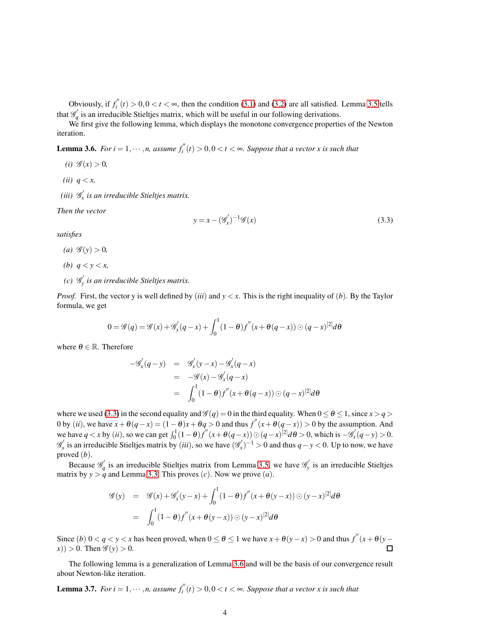Obviously, if  $f''_i(t) > 0, 0 < t < \infty$ , then the condition [\(3.1\)](#page-2-2) and [\(3.2\)](#page-2-3) are all satisfied. Lemma [3.5](#page-2-4) tells that  $\mathscr{G}'_q$  is an irreducible Stieltjes matrix, which will be useful in our following derivations.

We first give the following lemma, which displays the monotone convergence properties of the Newton iteration.

<span id="page-3-1"></span>**Lemma 3.6.** *For i* = 1,  $\cdots$  , *n*, assume  $f''_i(t) > 0, 0 < t < \infty$ . Suppose that a vector x is such that

- *(i)*  $\mathscr{G}(x) > 0$ ,
- (*ii*)  $q < x$ ,
- *(iii)* G ′ *x is an irreducible Stieltjes matrix.*

*Then the vector*

<span id="page-3-0"></span>
$$
y = x - (\mathcal{G}'_x)^{-1} \mathcal{G}(x)
$$
 (3.3)

*satisfies*

- *(a)*  $\mathcal{G}(v) > 0$ ,
- *(b)*  $q < y < x$ ,
- *(c)*  $\mathscr{G}'_y$  is an irreducible Stieltjes matrix.

*Proof.* First, the vector y is well defined by (*iii*) and  $y < x$ . This is the right inequality of (*b*). By the Taylor formula, we get

$$
0 = \mathscr{G}(q) = \mathscr{G}(x) + \mathscr{G}'_x(q-x) + \int_0^1 (1-\theta)f''(x+\theta(q-x)) \odot (q-x)^{[2]}d\theta
$$

where  $\theta \in \mathbb{R}$ . Therefore

$$
-\mathscr{G}'_x(q-y) = \mathscr{G}'_x(y-x) - \mathscr{G}'_x(q-x)
$$
  
= 
$$
-\mathscr{G}(x) - \mathscr{G}'_x(q-x)
$$
  
= 
$$
\int_0^1 (1-\theta) f''(x+\theta(q-x)) \odot (q-x)^{[2]} d\theta
$$

where we used [\(3.3\)](#page-3-0) in the second equality and  $\mathscr{G}(q) = 0$  in the third equality. When  $0 \le \theta \le 1$ , since  $x > q$ 0 by (*ii*), we have  $x + \theta(q - x) = (1 - \theta)x + \theta q > 0$  and thus  $f''(x + \theta(q - x)) > 0$  by the assumption. And we have  $q < x$  by (*ii*), so we can get  $\int_0^1 (1-\theta) f''(x+\theta(q-x)) \odot (q-x)^{[2]} d\theta > 0$ , which is  $-\mathscr{G}'_x(q-y) > 0$ .  $\mathscr{G}'_x$  is an irreducible Stieltjes matrix by (*iii*), so we have  $(\mathscr{G}'_x)^{-1} > 0$  and thus  $q$ −*y* < 0. Up to now, we have proved (*b*).

Because  $\mathscr{G}'_q$  is an irreducible Stieltjes matrix from Lemma [3.5,](#page-2-4) we have  $\mathscr{G}'_y$  is an irreducible Stieltjes matrix by  $y > q$  and Lemma [3.3.](#page-2-5) This proves  $(c)$ . Now we prove  $(a)$ .

$$
\mathcal{G}(y) = \mathcal{G}(x) + \mathcal{G}'_x(y-x) + \int_0^1 (1-\theta) f''(x+\theta(y-x)) \odot (y-x)^{[2]} d\theta
$$

$$
= \int_0^1 (1-\theta) f''(x+\theta(y-x)) \odot (y-x)^{[2]} d\theta
$$

Since (*b*)  $0 < q < y < x$  has been proved, when  $0 \le \theta \le 1$  we have  $x + \theta(y - x) > 0$  and thus  $f''(x + \theta(y - x))$  $(x)$ ) > 0. Then  $\mathscr{G}(y)$  > 0.

The following lemma is a generalization of Lemma [3.6](#page-3-1) and will be the basis of our convergence result about Newton-like iteration.

<span id="page-3-2"></span>**Lemma 3.7.** *For i* = 1,  $\cdots$  , *n*, assume  $f''_i(t) > 0, 0 < t < \infty$ . Suppose that a vector x is such that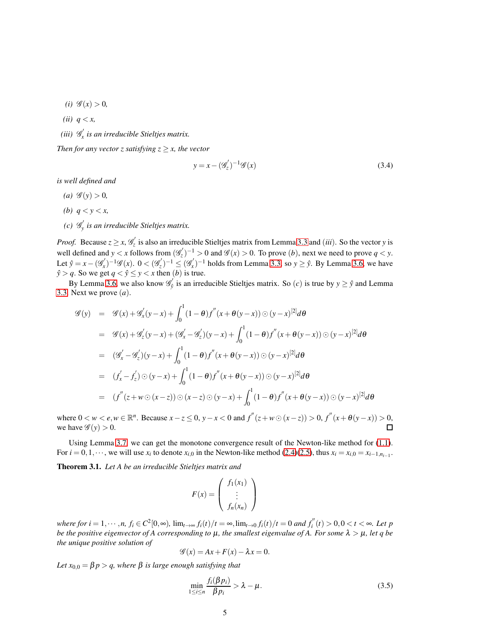*(i)*  $\mathcal{G}(x) > 0$ ,

(*ii*)  $q < x$ ,

*(iii)* G ′ *x is an irreducible Stieltjes matrix.*

*Then for any vector z satisfying*  $z > x$ *, the vector* 

$$
y = x - (\mathcal{G}'_z)^{-1} \mathcal{G}(x) \tag{3.4}
$$

*is well defined and*

*(a)*  $\mathcal{G}(y) > 0$ ,

*(b)*  $q < y < x$ ,

*(c)*  $\mathscr{G}'_y$  is an irreducible Stieltjes matrix.

*Proof.* Because  $z \ge x$ ,  $\mathscr{G}'_z$  is also an irreducible Stieltjes matrix from Lemma [3.3](#page-2-5) and (*iii*). So the vector *y* is well defined and  $y < x$  follows from  $(\mathscr{G}'_z)^{-1} > 0$  and  $\mathscr{G}(x) > 0$ . To prove  $(b)$ , next we need to prove  $q < y$ . Let  $\hat{y} = x - (\mathscr{G}'_x)^{-1} \mathscr{G}(x)$ .  $0 < (\mathscr{G}'_z)^{-1} \leq (\mathscr{G}'_x)^{-1}$  holds from Lemma [3.3,](#page-2-5) so  $y \geq \hat{y}$ . By Lemma [3.6,](#page-3-1) we have  $\hat{y} > q$ . So we get  $q < \hat{y} \le y < x$  then (*b*) is true.

By Lemma [3.6,](#page-3-1) we also know  $\mathscr{G}_{\hat{y}}'$  is an irreducible Stieltjes matrix. So  $(c)$  is true by  $y \ge \hat{y}$  and Lemma [3.3.](#page-2-5) Next we prove (*a*).

$$
\mathcal{G}(y) = \mathcal{G}(x) + \mathcal{G}'_x(y-x) + \int_0^1 (1-\theta)f''(x+\theta(y-x)) \odot (y-x)^{[2]} d\theta
$$
  
\n
$$
= \mathcal{G}(x) + \mathcal{G}'_z(y-x) + (\mathcal{G}'_x - \mathcal{G}'_z)(y-x) + \int_0^1 (1-\theta)f''(x+\theta(y-x)) \odot (y-x)^{[2]} d\theta
$$
  
\n
$$
= (\mathcal{G}'_x - \mathcal{G}'_z)(y-x) + \int_0^1 (1-\theta)f''(x+\theta(y-x)) \odot (y-x)^{[2]} d\theta
$$
  
\n
$$
= (f'_x - f'_z) \odot (y-x) + \int_0^1 (1-\theta)f''(x+\theta(y-x)) \odot (y-x)^{[2]} d\theta
$$
  
\n
$$
= (f''(z+w \odot (x-z)) \odot (x-z) \odot (y-x) + \int_0^1 (1-\theta)f''(x+\theta(y-x)) \odot (y-x)^{[2]} d\theta
$$

where 0 < *w* < *e*, *w* ∈  $\mathbb{R}^n$ . Because *x* − *z* ≤ 0, *y* − *x* < 0 and  $f''(z + w \odot (x - z)) > 0$ ,  $f''(x + \theta(y - x)) > 0$ , we have  $\mathscr{G}(v) > 0$ .

Using Lemma [3.7,](#page-3-2) we can get the monotone convergence result of the Newton-like method for [\(1.1\)](#page-0-0). For  $i = 0, 1, \dots$ , we will use  $x_i$  to denote  $x_{i,0}$  in the Newton-like method [\(2.4\)\(2.5\)](#page-2-0), thus  $x_i = x_{i,0} = x_{i-1,n_{i-1}}$ .

<span id="page-4-1"></span>Theorem 3.1. *Let A be an irreducible Stieltjes matrix and*

$$
F(x) = \begin{pmatrix} f_1(x_1) \\ \vdots \\ f_n(x_n) \end{pmatrix}
$$

where for  $i = 1, \dots, n$ ,  $f_i \in C^2[0, \infty)$ ,  $\lim_{t \to \infty} f_i(t)/t = \infty$ ,  $\lim_{t \to 0} f_i(t)/t = 0$  and  $f_i''(t) > 0, 0 < t < \infty$ . Let p *be the positive eigenvector of A corresponding to*  $\mu$ *, the smallest eigenvalue of A. For some*  $\lambda > \mu$ *, let q be the unique positive solution of*

$$
\mathscr{G}(x) = Ax + F(x) - \lambda x = 0.
$$

*Let*  $x_{0,0} = \beta p > q$ , where  $\beta$  *is large enough satisfying that* 

<span id="page-4-0"></span>
$$
\min_{1 \le i \le n} \frac{f_i(\beta p_i)}{\beta p_i} > \lambda - \mu. \tag{3.5}
$$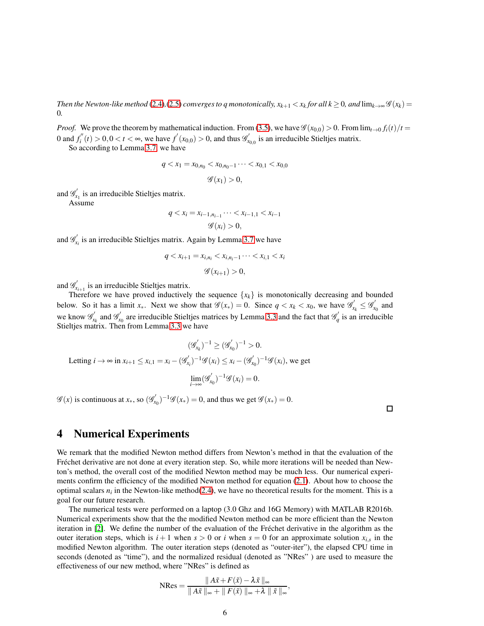*Then the Newton-like method* [\(2.4\)](#page-2-0),[\(2.5\)](#page-2-0) *converges to q monotonically,*  $x_{k+1} < x_k$  *for all*  $k \ge 0$ *, and*  $\lim_{k\to\infty}$   $\mathscr{G}(x_k)$  = 0*.*

*Proof.* We prove the theorem by mathematical induction. From [\(3.5\)](#page-4-0), we have  $\mathcal{G}(x_{0,0}) > 0$ . From  $\lim_{t \to 0} f_i(t)/t =$ 0 and  $f''_i(t) > 0, 0 < t < \infty$ , we have  $f'(x_{0,0}) > 0$ , and thus  $\mathscr{G}'_{x_{0,0}}$  is an irreducible Stieltjes matrix.

So according to Lemma [3.7,](#page-3-2) we have

$$
q < x_1 = x_{0,n_0} < x_{0,n_0-1} \cdots < x_{0,1} < x_{0,0}
$$

$$
\mathscr{G}(x_1) > 0,
$$

and  $\mathscr{G}_{x_1}$  is an irreducible Stieltjes matrix.

Assume

$$
q < x_i = x_{i-1,n_{i-1}} \cdots < x_{i-1,1} < x_{i-1}
$$
  

$$
\mathscr{G}(x_i) > 0,
$$

and  $\mathscr{G}'_{x_i}$  is an irreducible Stieltjes matrix. Again by Lemma [3.7](#page-3-2) we have

$$
q < x_{i+1} = x_{i,n_i} < x_{i,n_i-1} \cdots < x_{i,1} < x_i
$$
  

$$
\mathscr{G}(x_{i+1}) > 0,
$$

and  $\mathscr{G}'_{x_{i+1}}$  is an irreducible Stieltjes matrix.

Therefore we have proved inductively the sequence  $\{x_k\}$  is monotonically decreasing and bounded below. So it has a limit  $x_*$ . Next we show that  $\mathscr{G}(x_*) = 0$ . Since  $q < x_k < x_0$ , we have  $\mathscr{G}'_{x_k} \leq \mathscr{G}'_{x_0}$  and we know  $\mathscr{G}'_{x_k}$  and  $\mathscr{G}'_{x_0}$  are irreducible Stieltjes matrices by Lemma [3.3](#page-2-5) and the fact that  $\mathscr{G}'_q$  is an irreducible Stieltjes matrix. Then from Lemma [3.3](#page-2-5) we have

$$
(\mathcal{G}'_{x_k})^{-1} \ge (\mathcal{G}'_{x_0})^{-1} > 0.
$$
  
Letting  $i \to \infty$  in  $x_{i+1} \le x_{i,1} = x_i - (\mathcal{G}'_{x_i})^{-1} \mathcal{G}(x_i) \le x_i - (\mathcal{G}'_{x_0})^{-1} \mathcal{G}(x_i)$ , we get
$$
\lim_{i \to \infty} (\mathcal{G}'_{x_0})^{-1} \mathcal{G}(x_i) = 0.
$$

 $\mathscr{G}(x)$  is continuous at  $x_*$ , so  $(\mathscr{G}'_{x_0})^{-1}\mathscr{G}(x_*)=0$ , and thus we get  $\mathscr{G}(x_*)=0$ .

 $\Box$ 

#### 4 Numerical Experiments

We remark that the modified Newton method differs from Newton's method in that the evaluation of the Fréchet derivative are not done at every iteration step. So, while more iterations will be needed than Newton's method, the overall cost of the modified Newton method may be much less. Our numerical experiments confirm the efficiency of the modified Newton method for equation [\(2.1\)](#page-1-0). About how to choose the optimal scalars  $n_i$  in the Newton-like method[\(2.4\)](#page-2-0), we have no theoretical results for the moment. This is a goal for our future research.

The numerical tests were performed on a laptop (3.0 Ghz and 16G Memory) with MATLAB R2016b. Numerical experiments show that the the modified Newton method can be more efficient than the Newton iteration in [\[2\]](#page-6-2). We define the number of the evaluation of the Fréchet derivative in the algorithm as the outer iteration steps, which is  $i + 1$  when  $s > 0$  or  $i$  when  $s = 0$  for an approximate solution  $x_{i,s}$  in the modified Newton algorithm. The outer iteration steps (denoted as "outer-iter"), the elapsed CPU time in seconds (denoted as "time"), and the normalized residual (denoted as "NRes" ) are used to measure the effectiveness of our new method, where "NRes" is defined as

$$
\text{NRes} = \frac{\|A\tilde{x} + F(\tilde{x}) - \lambda \tilde{x}\|_{\infty}}{\|A\tilde{x}\|_{\infty} + \|F(\tilde{x})\|_{\infty} + \lambda \|\tilde{x}\|_{\infty}},
$$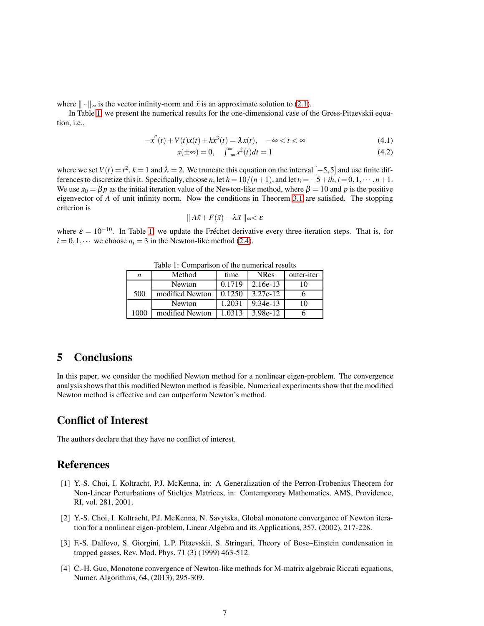where  $\|\cdot\|_{\infty}$  is the vector infinity-norm and  $\tilde{x}$  is an approximate solution to [\(2.1\)](#page-1-0).

In Table [1,](#page-6-4) we present the numerical results for the one-dimensional case of the Gross-Pitaevskii equation, i.e.,

$$
-x''(t) + V(t)x(t) + kx^{3}(t) = \lambda x(t), \quad -\infty < t < \infty
$$
\n(4.1)

$$
x(\pm \infty) = 0, \quad \int_{-\infty}^{\infty} x^2(t)dt = 1 \tag{4.2}
$$

where we set  $V(t) = t^2$ ,  $k = 1$  and  $\lambda = 2$ . We truncate this equation on the interval [-5,5] and use finite differences to discretize this it. Specifically, choose *n*, let  $h = 10/(n+1)$ , and let  $t_i = -5 + ih$ ,  $i = 0, 1, \dots, n+1$ . We use  $x_0 = \beta p$  as the initial iteration value of the Newton-like method, where  $\beta = 10$  and p is the positive eigenvector of *A* of unit infinity norm. Now the conditions in Theorem [3.1](#page-4-1) are satisfied. The stopping criterion is

$$
\|A\tilde{x} + F(\tilde{x}) - \lambda \tilde{x}\|_{\infty} < \varepsilon
$$

where  $\varepsilon = 10^{-10}$ . In Table [1,](#page-6-4) we update the Fréchet derivative every three iteration steps. That is, for  $i = 0, 1, \dots$  we choose  $n_i = 3$  in the Newton-like method [\(2.4\)](#page-2-0).

| n    | Method          | time   | <b>NRes</b> | outer-iter |
|------|-----------------|--------|-------------|------------|
|      | Newton          | 0.1719 | $2.16e-13$  |            |
| 500  | modified Newton | 0.1250 | 3.27e-12    |            |
|      | Newton          | 1.2031 | $9.34e-13$  | 10         |
| 1000 | modified Newton | 1.0313 | $3.98e-12$  |            |

<span id="page-6-4"></span>Table 1: Comparison of the numerical results

# 5 Conclusions

In this paper, we consider the modified Newton method for a nonlinear eigen-problem. The convergence analysis shows that this modified Newton method is feasible. Numerical experiments show that the modified Newton method is effective and can outperform Newton's method.

# Conflict of Interest

The authors declare that they have no conflict of interest.

# <span id="page-6-1"></span>**References**

- [1] Y.-S. Choi, I. Koltracht, P.J. McKenna, in: A Generalization of the Perron-Frobenius Theorem for Non-Linear Perturbations of Stieltjes Matrices, in: Contemporary Mathematics, AMS, Providence, RI, vol. 281, 2001.
- <span id="page-6-2"></span>[2] Y.-S. Choi, I. Koltracht, P.J. McKenna, N. Savytska, Global monotone convergence of Newton iteration for a nonlinear eigen-problem, Linear Algebra and its Applications, 357, (2002), 217-228.
- <span id="page-6-0"></span>[3] F.-S. Dalfovo, S. Giorgini, L.P. Pitaevskii, S. Stringari, Theory of Bose–Einstein condensation in trapped gasses, Rev. Mod. Phys. 71 (3) (1999) 463-512.
- <span id="page-6-3"></span>[4] C.-H. Guo, Monotone convergence of Newton-like methods for M-matrix algebraic Riccati equations, Numer. Algorithms, 64, (2013), 295-309.